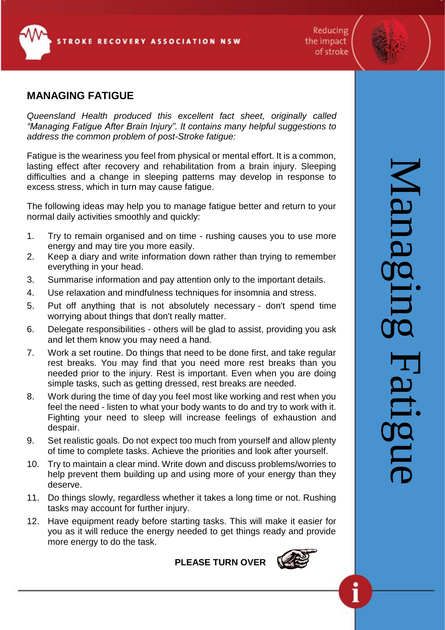**ROKE RECOVERY ASSOCIATION NSW** 

Reducing the impact of stroke

# **MANAGING FATIGUE**

*Queensland Health produced this excellent fact sheet, originally called "Managing Fatigue After Brain Injury". It contains many helpful suggestions to address the common problem of post-Stroke fatigue:*

Fatigue is the weariness you feel from physical or mental effort. It is a common, lasting effect after recovery and rehabilitation from a brain injury. Sleeping difficulties and a change in sleeping patterns may develop in response to excess stress, which in turn may cause fatigue.

The following ideas may help you to manage fatigue better and return to your normal daily activities smoothly and quickly:

- 1. Try to remain organised and on time rushing causes you to use more energy and may tire you more easily.
- 2. Keep a diary and write information down rather than trying to remember everything in your head.
- 3. Summarise information and pay attention only to the important details.
- 4. Use relaxation and mindfulness techniques for insomnia and stress.
- 5. Put off anything that is not absolutely necessary don't spend time worrying about things that don't really matter.
- 6. Delegate responsibilities others will be glad to assist, providing you ask and let them know you may need a hand.
- 7. Work a set routine. Do things that need to be done first, and take regular rest breaks. You may find that you need more rest breaks than you needed prior to the injury. Rest is important. Even when you are doing simple tasks, such as getting dressed, rest breaks are needed.
- 8. Work during the time of day you feel most like working and rest when you feel the need - listen to what your body wants to do and try to work with it. Fighting your need to sleep will increase feelings of exhaustion and despair.
- 9. Set realistic goals. Do not expect too much from yourself and allow plenty of time to complete tasks. Achieve the priorities and look after yourself.
- 10. Try to maintain a clear mind. Write down and discuss problems/worries to help prevent them building up and using more of your energy than they deserve.
- 11. Do things slowly, regardless whether it takes a long time or not. Rushing tasks may account for further injury.
- 12. Have equipment ready before starting tasks. This will make it easier for you as it will reduce the energy needed to get things ready and provide more energy to do the task.

**PLEASE TURN OVER**